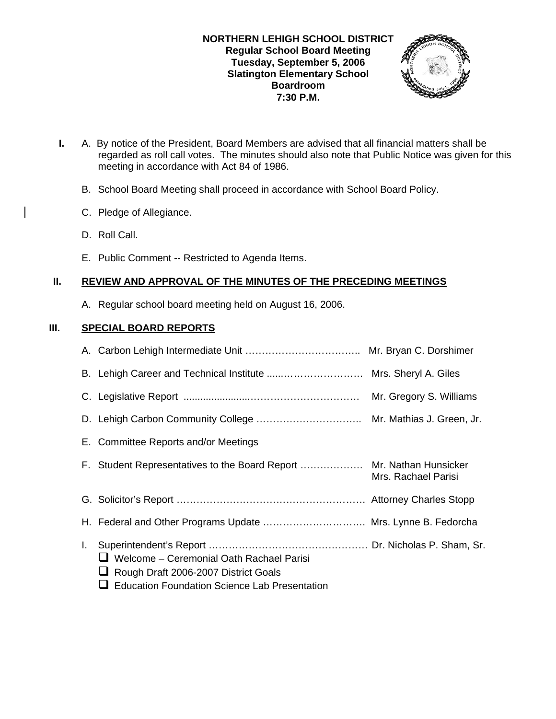## **NORTHERN LEHIGH SCHOOL DISTRICT Regular School Board Meeting Tuesday, September 5, 2006 Slatington Elementary School Boardroom 7:30 P.M.**



- **I.** A. By notice of the President, Board Members are advised that all financial matters shall be regarded as roll call votes. The minutes should also note that Public Notice was given for this meeting in accordance with Act 84 of 1986.
	- B. School Board Meeting shall proceed in accordance with School Board Policy.
	- C. Pledge of Allegiance.
	- D. Roll Call.
	- E. Public Comment -- Restricted to Agenda Items.

# **II. REVIEW AND APPROVAL OF THE MINUTES OF THE PRECEDING MEETINGS**

A. Regular school board meeting held on August 16, 2006.

# **III. SPECIAL BOARD REPORTS**

|    |                                                                                                                                                 | Mr. Gregory S. Williams |
|----|-------------------------------------------------------------------------------------------------------------------------------------------------|-------------------------|
|    |                                                                                                                                                 |                         |
|    | E. Committee Reports and/or Meetings                                                                                                            |                         |
|    | F. Student Representatives to the Board Report  Mr. Nathan Hunsicker                                                                            | Mrs. Rachael Parisi     |
|    |                                                                                                                                                 |                         |
|    | H. Federal and Other Programs Update  Mrs. Lynne B. Fedorcha                                                                                    |                         |
| L. | $\Box$ Welcome – Ceremonial Oath Rachael Parisi<br>Rough Draft 2006-2007 District Goals<br><b>Education Foundation Science Lab Presentation</b> |                         |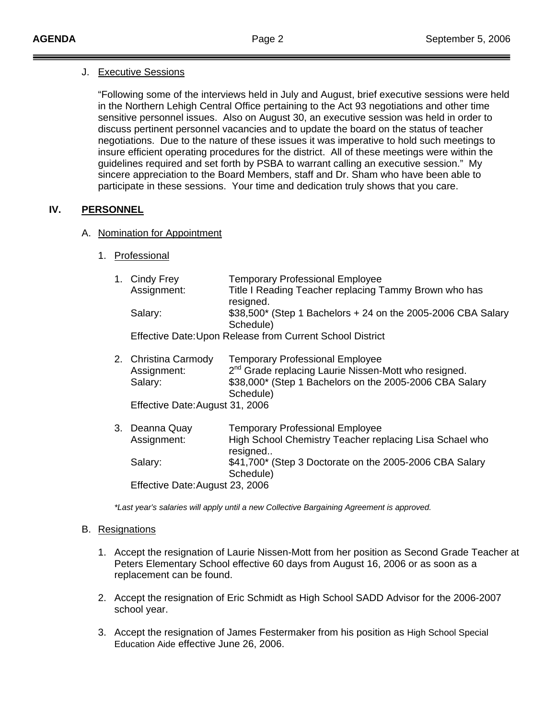### J. Executive Sessions

 "Following some of the interviews held in July and August, brief executive sessions were held in the Northern Lehigh Central Office pertaining to the Act 93 negotiations and other time sensitive personnel issues. Also on August 30, an executive session was held in order to discuss pertinent personnel vacancies and to update the board on the status of teacher negotiations. Due to the nature of these issues it was imperative to hold such meetings to insure efficient operating procedures for the district. All of these meetings were within the guidelines required and set forth by PSBA to warrant calling an executive session." My sincere appreciation to the Board Members, staff and Dr. Sham who have been able to participate in these sessions. Your time and dedication truly shows that you care.

## **IV. PERSONNEL**

## A. Nomination for Appointment

1. Professional

| 1. Cindy Frey<br>Assignment:                              | <b>Temporary Professional Employee</b><br>Title I Reading Teacher replacing Tammy Brown who has<br>resigned.                                                                       |  |  |  |
|-----------------------------------------------------------|------------------------------------------------------------------------------------------------------------------------------------------------------------------------------------|--|--|--|
| Salary:                                                   | $$38,500^*$ (Step 1 Bachelors + 24 on the 2005-2006 CBA Salary<br>Schedule)                                                                                                        |  |  |  |
| Effective Date: Upon Release from Current School District |                                                                                                                                                                                    |  |  |  |
| 2. Christina Carmody<br>Assignment:<br>Salary:            | <b>Temporary Professional Employee</b><br>2 <sup>nd</sup> Grade replacing Laurie Nissen-Mott who resigned.<br>\$38,000* (Step 1 Bachelors on the 2005-2006 CBA Salary<br>Schedule) |  |  |  |
| Effective Date: August 31, 2006                           |                                                                                                                                                                                    |  |  |  |
| 3. Deanna Quay<br>Assignment:                             | <b>Temporary Professional Employee</b><br>High School Chemistry Teacher replacing Lisa Schael who<br>resigned                                                                      |  |  |  |
| Salary:                                                   | \$41,700* (Step 3 Doctorate on the 2005-2006 CBA Salary<br>Schedule)                                                                                                               |  |  |  |
| Effective Date: August 23, 2006                           |                                                                                                                                                                                    |  |  |  |

*\*Last year's salaries will apply until a new Collective Bargaining Agreement is approved.* 

### B. Resignations

- 1. Accept the resignation of Laurie Nissen-Mott from her position as Second Grade Teacher at Peters Elementary School effective 60 days from August 16, 2006 or as soon as a replacement can be found.
- 2. Accept the resignation of Eric Schmidt as High School SADD Advisor for the 2006-2007 school year.
- 3. Accept the resignation of James Festermaker from his position as High School Special Education Aide effective June 26, 2006.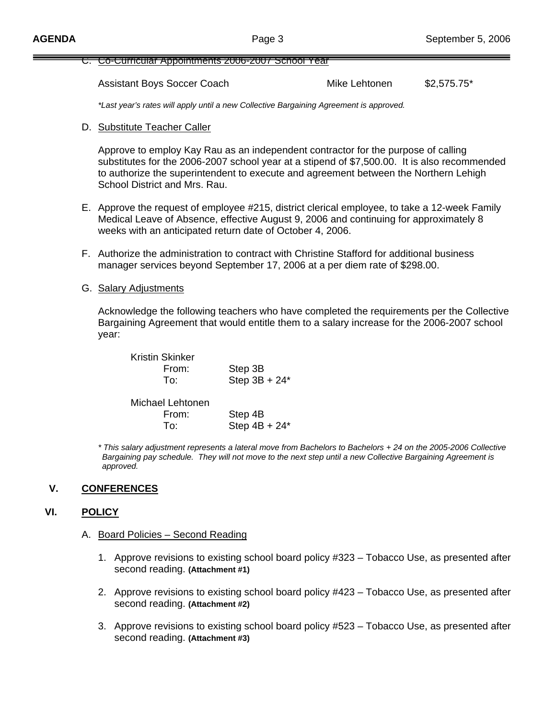#### C. Co-Curricular Appointments 2006-2007 School Year

Assistant Boys Soccer Coach Mike Lehtonen \$2,575.75\*

*\*Last year's rates will apply until a new Collective Bargaining Agreement is approved.*

D. Substitute Teacher Caller

 Approve to employ Kay Rau as an independent contractor for the purpose of calling substitutes for the 2006-2007 school year at a stipend of \$7,500.00. It is also recommended to authorize the superintendent to execute and agreement between the Northern Lehigh School District and Mrs. Rau.

- E. Approve the request of employee #215, district clerical employee, to take a 12-week Family Medical Leave of Absence, effective August 9, 2006 and continuing for approximately 8 weeks with an anticipated return date of October 4, 2006.
- F. Authorize the administration to contract with Christine Stafford for additional business manager services beyond September 17, 2006 at a per diem rate of \$298.00.
- G. Salary Adjustments

 Acknowledge the following teachers who have completed the requirements per the Collective Bargaining Agreement that would entitle them to a salary increase for the 2006-2007 school year:

| Step 3B          |
|------------------|
| Step $3B + 24^*$ |
|                  |

| Michael Lehtonen |                 |
|------------------|-----------------|
| From:            | Step 4B         |
| To:              | Step $4B + 24*$ |

*\* This salary adjustment represents a lateral move from Bachelors to Bachelors + 24 on the 2005-2006 Collective Bargaining pay schedule. They will not move to the next step until a new Collective Bargaining Agreement is approved.* 

## **V. CONFERENCES**

### **VI. POLICY**

#### A. Board Policies – Second Reading

- 1. Approve revisions to existing school board policy #323 Tobacco Use, as presented after second reading. **(Attachment #1)**
- 2. Approve revisions to existing school board policy #423 Tobacco Use, as presented after second reading. **(Attachment #2)**
- 3. Approve revisions to existing school board policy #523 Tobacco Use, as presented after second reading. **(Attachment #3)**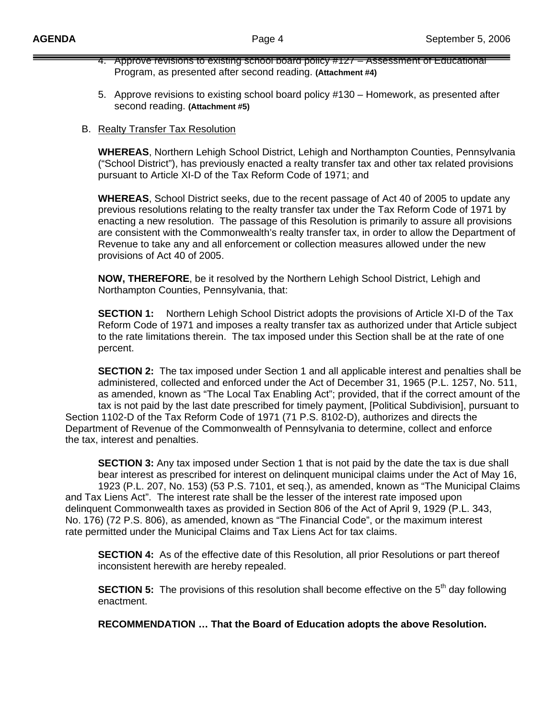- 4. Approve revisions to existing school board policy #127 Assessment of Educational Program, as presented after second reading. **(Attachment #4)**
- 5. Approve revisions to existing school board policy #130 Homework, as presented after second reading. **(Attachment #5)**
- B. Realty Transfer Tax Resolution

 **WHEREAS**, Northern Lehigh School District, Lehigh and Northampton Counties, Pennsylvania ("School District"), has previously enacted a realty transfer tax and other tax related provisions pursuant to Article XI-D of the Tax Reform Code of 1971; and

 **WHEREAS**, School District seeks, due to the recent passage of Act 40 of 2005 to update any previous resolutions relating to the realty transfer tax under the Tax Reform Code of 1971 by enacting a new resolution. The passage of this Resolution is primarily to assure all provisions are consistent with the Commonwealth's realty transfer tax, in order to allow the Department of Revenue to take any and all enforcement or collection measures allowed under the new provisions of Act 40 of 2005.

 **NOW, THEREFORE**, be it resolved by the Northern Lehigh School District, Lehigh and Northampton Counties, Pennsylvania, that:

**SECTION 1:** Northern Lehigh School District adopts the provisions of Article XI-D of the Tax Reform Code of 1971 and imposes a realty transfer tax as authorized under that Article subject to the rate limitations therein. The tax imposed under this Section shall be at the rate of one percent.

**SECTION 2:** The tax imposed under Section 1 and all applicable interest and penalties shall be administered, collected and enforced under the Act of December 31, 1965 (P.L. 1257, No. 511, as amended, known as "The Local Tax Enabling Act"; provided, that if the correct amount of the tax is not paid by the last date prescribed for timely payment, [Political Subdivision], pursuant to Section 1102-D of the Tax Reform Code of 1971 (71 P.S. 8102-D), authorizes and directs the Department of Revenue of the Commonwealth of Pennsylvania to determine, collect and enforce the tax, interest and penalties.

**SECTION 3:** Any tax imposed under Section 1 that is not paid by the date the tax is due shall bear interest as prescribed for interest on delinquent municipal claims under the Act of May 16, 1923 (P.L. 207, No. 153) (53 P.S. 7101, et seq.), as amended, known as "The Municipal Claims and Tax Liens Act". The interest rate shall be the lesser of the interest rate imposed upon delinquent Commonwealth taxes as provided in Section 806 of the Act of April 9, 1929 (P.L. 343, No. 176) (72 P.S. 806), as amended, known as "The Financial Code", or the maximum interest rate permitted under the Municipal Claims and Tax Liens Act for tax claims.

**SECTION 4:** As of the effective date of this Resolution, all prior Resolutions or part thereof inconsistent herewith are hereby repealed.

**SECTION 5:** The provisions of this resolution shall become effective on the 5<sup>th</sup> day following enactment.

**RECOMMENDATION … That the Board of Education adopts the above Resolution.**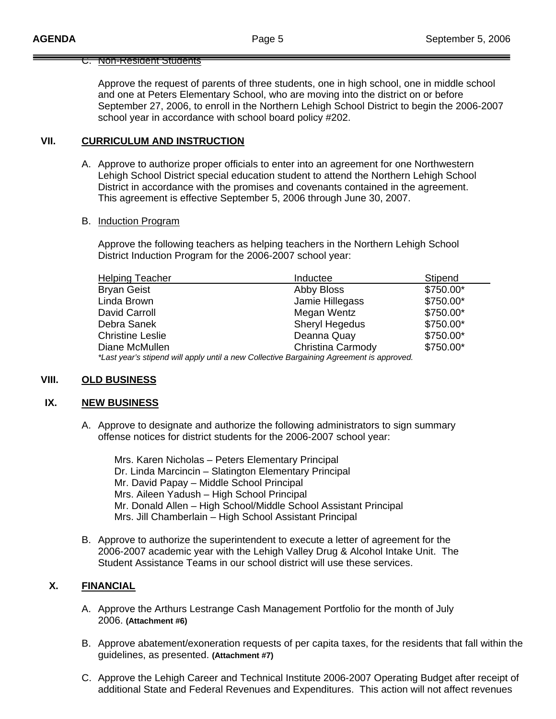### C. Non-Resident Students

 Approve the request of parents of three students, one in high school, one in middle school and one at Peters Elementary School, who are moving into the district on or before September 27, 2006, to enroll in the Northern Lehigh School District to begin the 2006-2007 school year in accordance with school board policy #202.

## **VII. CURRICULUM AND INSTRUCTION**

A. Approve to authorize proper officials to enter into an agreement for one Northwestern Lehigh School District special education student to attend the Northern Lehigh School District in accordance with the promises and covenants contained in the agreement. This agreement is effective September 5, 2006 through June 30, 2007.

#### B. Induction Program

 Approve the following teachers as helping teachers in the Northern Lehigh School District Induction Program for the 2006-2007 school year:

| <b>Helping Teacher</b>                                                                   | Inductee              | Stipend   |  |
|------------------------------------------------------------------------------------------|-----------------------|-----------|--|
| <b>Bryan Geist</b>                                                                       | Abby Bloss            | \$750.00* |  |
| Linda Brown                                                                              | Jamie Hillegass       | \$750.00* |  |
| David Carroll                                                                            | Megan Wentz           | \$750.00* |  |
| Debra Sanek                                                                              | <b>Sheryl Hegedus</b> | \$750.00* |  |
| <b>Christine Leslie</b>                                                                  | Deanna Quay           | \$750.00* |  |
| Diane McMullen                                                                           | Christina Carmody     | \$750.00* |  |
| *Last year's stipend will apply until a new Collective Bargaining Agreement is approved. |                       |           |  |

## **VIII. OLD BUSINESS**

#### **IX. NEW BUSINESS**

A. Approve to designate and authorize the following administrators to sign summary offense notices for district students for the 2006-2007 school year:

 Mrs. Karen Nicholas – Peters Elementary Principal Dr. Linda Marcincin – Slatington Elementary Principal Mr. David Papay – Middle School Principal Mrs. Aileen Yadush – High School Principal Mr. Donald Allen – High School/Middle School Assistant Principal Mrs. Jill Chamberlain – High School Assistant Principal

B. Approve to authorize the superintendent to execute a letter of agreement for the 2006-2007 academic year with the Lehigh Valley Drug & Alcohol Intake Unit. The Student Assistance Teams in our school district will use these services.

### **X. FINANCIAL**

- A. Approve the Arthurs Lestrange Cash Management Portfolio for the month of July 2006. **(Attachment #6)**
- B. Approve abatement/exoneration requests of per capita taxes, for the residents that fall within the guidelines, as presented. **(Attachment #7)**
- C. Approve the Lehigh Career and Technical Institute 2006-2007 Operating Budget after receipt of additional State and Federal Revenues and Expenditures. This action will not affect revenues